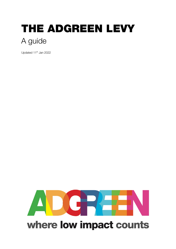# THE ADGREEN LEVY A guide

Updated 11<sup>th</sup> Jan 2022

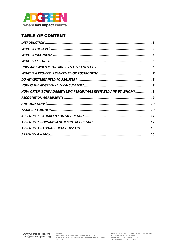

# TABLE OF CONTENT

| HOW OFTEN IS THE ADGREEN LEVY PERCENTAGE REVIEWED AND BY WHOM? 9 |  |
|------------------------------------------------------------------|--|
|                                                                  |  |
|                                                                  |  |
|                                                                  |  |
|                                                                  |  |
|                                                                  |  |
|                                                                  |  |
|                                                                  |  |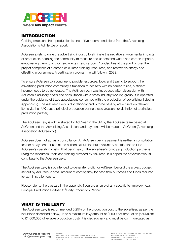

## INTRODUCTION

Curbing emissions from production is one of five recommendations from the Advertising Association's Ad Net Zero report.

AdGreen exists to unite the advertising industry to eliminate the negative environmental impacts of production, enabling the community to measure and understand waste and carbon impacts, empowering them to act for zero waste / zero carbon. Provided free at the point of use, the project comprises of a carbon calculator, training, resources, and renewable energy and offsetting programmes. A certification programme will follow in 2022.

To ensure AdGreen can continue to provide resources, tools and training to support the advertising production community's transition to net zero with no barrier to use, sufficient income needs to be generated. The AdGreen Levy was introduced after discussion with AdGreen's advisory board and consultation with a cross industry working group. It is operated under the guidance of trade associations concerned with the production of advertising (listed in Appendix 2). The AdGreen Levy is discretionary and is to be paid by advertisers on relevant items via their UK based principal production partners (see glossary for definition of a principal production partner).

The AdGreen Levy is administrated for AdGreen in the UK by the AdGreen team based at AdGreen and the Advertising Association, and payments will be made to AdGreen (Advertising Association AdGreen ltd).

AdGreen does not act as a consultancy. An AdGreen Levy is payment is neither a consultation fee nor a payment for use of the carbon calculation but a voluntary contribution to fund AdGreen's operating costs. That being said, if the advertiser's principal production partner is using the resources, tools and training provided by AdGreen, it is hoped the advertiser would contribute to the AdGreen Levy.

The AdGreen Levy is not intended to generate 'profit' for AdGreen beyond the project budget set out by AdGreen, a small amount of contingency for cash flow purposes and funds required for administration costs.

Please refer to the glossary in the appendix if you are unsure of any specific terminology, e.g. Principal Production Partner, 3<sup>rd</sup> Party Production Partner.

## WHAT IS THE LEVY?

The AdGreen Levy is recommended 0.25% of the production cost to the advertiser, as per the inclusions described below, up to a maximum levy amount of £2500 per production (equivalent to £1,000,000 of leviable production cost). It is discretionary and must be communicated as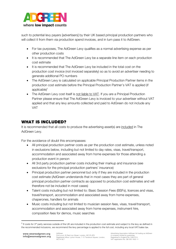

such to potential levy payers [advertisers] by their UK based principal production partners who will collect it from them via production spend invoices, and in turn pass it to AdGreen.

- For tax purposes, The AdGreen Levy qualifies as a normal advertising expense as per other production costs
- It is recommended that The AdGreen Levy be a separate line item on each production cost estimate
- It is recommended that The AdGreen Levy be included in the total cost on the production cost invoice (not invoiced separately) so as to avoid an advertiser needing to generate additional PO numbers
- The AdGreen Levy is calculated on applicable Principal Production Partner items in the production cost estimate before the Principal Production Partner's VAT is applied (if applicable $)^1$
- The AdGreen Levy cost itself is not liable to VAT. If you are a Principal Production Partner please ensure that The AdGreen Levy is invoiced to your advertiser without VAT applied and that any levy amounts collected and paid to AdGreen do not include any VAT

# WHAT IS INCLUDED?

It is recommended that all costs to produce the advertising asset(s) are included in The AdGreen Levy.

For the avoidance of doubt this encompasses:

- All principal production partner costs as per the production cost estimate, unless noted in exclusions below, including but not limited to day rates, visas, travel/transport, accommodation and associated away from home expenses for those attending a production event in person
- All 3rd party production partner costs including their markup and insurance (see exclusions for the principal production partners' insurance)
- Principal production partner personnel but only if they are included in the production cost estimate (AdGreen understands that in most cases they are part of general principal production partner contracts as opposed to production cost estimates and will therefore not be included in most cases)
- Talent costs including but not limited to: Basic Session Fees (BSFs), licences and visas, travel/transport, accommodation and associated away from home expenses, chaperones, handlers for animals
- Music costs including but not limited to musician session fees, visas, travel/transport, accommodation and associated away from home expenses, instrument hire, composition fees for demos, music searches

<sup>&</sup>lt;sup>1</sup> If costs for 3<sup>rd</sup> party services outside of the UK are included in the production cost estimate and subject to the levy as defined in the recommended inclusions, we recommend the levy percentage is applied to the full cost, including any local VAT/sales tax.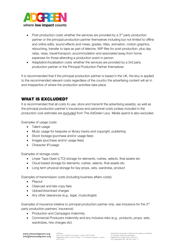

- Post-production costs whether the services are provided by a  $3<sup>rd</sup>$  party production partner or the principal production partner themselves including but not limited to offline and online edits, sound effects and mixes, grades, titles, animation, motion graphics, retouching, transfer to tape as part of telecine, WIP files for post-production, plus day rates, visas, travel/transport, accommodation and associated away from home expenses for those attending a production event in person
- Adaptation/localisation costs whether the services are provided by a 3rd party production partner or the Principal Production Partner themselves

It is recommended that if the principal production partner is based in the UK, the levy is applied to the recommended relevant costs regardless of the country the advertising content will air in and irrespective of where the production activities take place.

# WHAT IS EXCLUDED?

It is recommended that all costs to use, store and transmit the advertising asset(s), as well as the principal production partner's insurances and personnel costs (unless included in the production cost estimate) are excluded from The AdGreen Levy. Media spend is also excluded.

Examples of usage costs:

- Talent usage
- Music usage for bespoke or library tracks and copyright, publishing
- Stock footage (purchase and/or usage fees)
- Images (purchase and/or usage fees)
- Character IP/usage

Examples of storage costs:

- Linear Tape Open (LTO) storage for elements, rushes, selects, final assets etc
- Cloud based storage for elements, rushes, selects, final assets etc
- Long term physical storage for key props, sets, wardrobe, product

Examples of transmission costs (including business affairs costs):

- Playout
- Clearcast and late copy fees
- Upload/download charges
- Any other clearances (e.g., legal, musicologist)

Examples of insurance (relative to principal production partner only, see inclusions for the 3<sup>rd</sup> party production partners' insurance):

- Production and Campaigns Indemnity
- Commercial Producers Indemnity and any inclusive risks (e.g., products, props, sets, wardrobes, hire charges etc)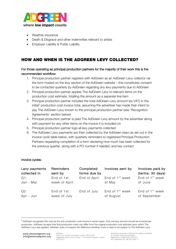

- Weather insurance
- Death & Disgrace and other indemnities relevant to artists
- Employer Liability & Public Liability

# HOW AND WHEN IS THE ADGREEN LEVY COLLECTED?

## For those operating as principal production partners for the majority of their work this is the recommended workflow:

- 1. Principal production partner registers with AdGreen as an AdGreen Levy collector via the form hosted on the levy section of the AdGreen website – this constitutes consent to be contacted quarterly by AdGreen regarding any levy payments due to AdGreen
- 2. Principal production partner applies The AdGreen Levy to relevant items on the production cost estimate, totalling the amount as a separate line item
- 3. Principal production partner includes the total AdGreen Levy amount (ex VAT) in the initial<sup>2</sup> production cost invoice total, assuming the advertiser has made their intent to pay The AdGreen Levy known to the principal production partner (see 'Recognition Agreements' section below)
- 4. Principal production partner is paid The AdGreen Levy amount by the advertiser along with payment for any other items on the invoice it is included on
- 5. Principal production partner logs all levy payments collected
- 6. The AdGreen Levy payments are then collected by the AdGreen team as set out in the invoice cycle table below, with quarterly reminders to registered Principal Production Partners requesting completion of a form declaring how much has been collected for the previous quarter, along with a PO number if needed, and key contact

#### Invoice cycles:

| Levy payments<br>collected in<br>Q1:<br>Jan - Mar | Reminders<br>sent by<br>End of 1st<br>week of April | Completed<br>forms due by<br>End of April | Invoices sent by<br>End of 1 <sup>st</sup> week<br>of May | Invoices paid by<br>(terms: 30 days)<br>End of 1 <sup>st</sup> week<br>of June |
|---------------------------------------------------|-----------------------------------------------------|-------------------------------------------|-----------------------------------------------------------|--------------------------------------------------------------------------------|
| Q2:                                               | End of 1st                                          | End of July                               | End of 1 <sup>st</sup> week                               | End of 1 <sup>st</sup> week                                                    |
| Apr - Jun                                         | week of July                                        |                                           | of August                                                 | of September                                                                   |

<sup>&</sup>lt;sup>2</sup> AdGreen recognises this may be the *only* production cost invoice in some cases. Only one levy amount should be invoiced per production. AdGreen accepts that final production costs can differ from the original production cost estimate upon which The AdGreen Levy was applied. AdGreen does not expect the difference (whether more or less) to be subject to The AdGreen Levy.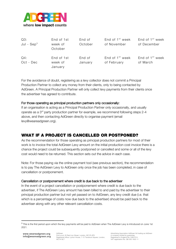

| Q3:<br>Jul - $\mathsf{Sep}^3$ | End of 1st<br>week of<br>October | End of<br>October | End of 1 <sup>st</sup> week<br>of November | End of 1 <sup>st</sup> week<br>of December |
|-------------------------------|----------------------------------|-------------------|--------------------------------------------|--------------------------------------------|
| Q4:<br>Oct - Dec              | End of 1st<br>week of<br>January | End of<br>January | End of 1 <sup>st</sup> week<br>of February | End of 1 <sup>st</sup> week<br>of March    |

For the avoidance of doubt, registering as a levy collector does not commit a Principal Production Partner to collect any money from their clients, only to being contacted by AdGreen. A Principal Production Partner will only collect levy payments from their clients once the advertiser has agreed to contribute.

#### For those operating as principal production partners only occasionally:

If an organisation is acting as a Principal Production Partner only occasionally, and usually operate as a 3rd party production partner for example, we recommend following steps 2-4 above, and then contacting AdGreen directly to organise payment (email levy@weareadgreen.org).

## WHAT IF A PROJECT IS CANCELLED OR POSTPONED?

As the recommendation for those operating as principal production partners for most of their work is to invoice the total AdGreen Levy amount on the initial production cost invoice there is a chance the project could be subsequently postponed or cancelled and some or all of the levy cost would need to be returned. This section sets out the advice in each case.

Note: For those paying via the online payment tool (see previous section), the recommendation is to pay The AdGreen Levy to AdGreen only once the job has been completed, in case of cancellation or postponement.

#### Cancellation or postponement where credit is due back to the advertiser

In the event of a project cancellation or postponement where credit is due back to the advertiser, if The AdGreen Levy amount has been billed to and paid by the advertiser to their principal production partner but not yet passed on to AdGreen, any levy credit due (i.e. that which is a percentage of costs now due back to the advertiser) should be paid back to the advertiser along with any other relevant cancellation costs.

<sup>&</sup>lt;sup>3</sup> This is the first period upon which the levy payments will be paid to AdGreen when The AdGreen Levy is introduced on June 1st 2021.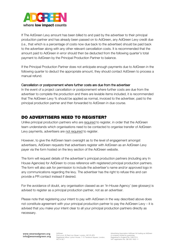

If The AdGreen Levy amount has been billed to and paid by the advertiser to their principal production partner and has already been passed on to AdGreen, any AdGreen Levy credit due (i.e., that which is a percentage of costs now due back to the advertiser) should be paid back to the advertiser along with any other relevant cancellation costs. It is recommended that the amount paid to AdGreen in error should then be deducted from the following quarter's total payment to AdGreen by the Principal Production Partner to balance.

If the Principal Production Partner does not anticipate enough payments due to AdGreen in the following quarter to deduct the appropriate amount, they should contact AdGreen to process a manual refund.

#### Cancellation or postponement where further costs are due from the advertiser

In the event of a project cancellation or postponement where further costs are due from the advertiser to complete the production and there are leviable items included, it is recommended that The AdGreen Levy % should be applied as normal, invoiced to the advertiser, paid to the principal production partner and then forwarded to AdGreen in due course.

## DO ADVERTISERS NEED TO REGISTER?

Unlike principal production partners who are required to register, in order that the AdGreen team understands which organisations need to be contacted to organise transfer of AdGreen Levy payments, advertisers are not required to register.

However, to give the AdGreen team oversight as to the level of engagement amongst advertisers, AdGreen requests that advertisers register with AdGreen as an AdGreen Levy payer via the form hosted on the levy section of the AdGreen website.

The form will request details of the advertiser's principal production partners (including any In House Agencies) for AdGreen to cross reference with registered principal production partners. The form will also ask for permission to include the advertiser's name and/or approved logo in any communications regarding the levy. The advertiser has the right to refuse this and can provide a PR contact instead if desired.

For the avoidance of doubt, any organisation classed as an 'In-House Agency' (see glossary) is advised to register as a principal production partner, not as an advertiser.

Please note that registering your intent to pay with AdGreen in the way described above does not constitute agreement with your principal production partner to pay the AdGreen Levy – it is advised that you make your intent clear to all your principal production partners directly as necessary.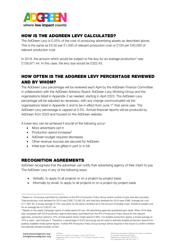

## HOW IS THE ADGREEN LEVY CALCULATED?

The AdGreen Levy is 0.25% of the cost of producing advertising assets as described above. This is the same as £2.50 per £1,000 of relevant production cost or £100 per £40,000 of relevant production cost.

In 2019, the amount which would be subject to the levy for an average production<sup>4</sup> was £128,971.44. In this case, the levy due would be £322.43.

# HOW OFTEN IS THE ADGREEN LEVY PERCENTAGE REVIEWED AND BY WHOM?

The AdGreen Levy percentage will be reviewed each April by the AdGreen Finance Committee in collaboration with the AdGreen Advisory Board, AdGreen Levy Working Group and the organisations listed in Appendix 2 as needed, starting in April 2023. The AdGreen Levy percentage will be adjusted as necessary, with any change communicated via the organisations listed in Appendix 2 and to be in effect from June 1<sup>st</sup> that same year. The AdGreen Levy percentage is capped at 0.5%. Annual financial reports will be produced by AdGreen from 2023 and housed on the AdGreen website.

A lower levy can be achieved if any/all of the following occur:

- More advertisers opt in
- Production spend increases $<sup>5</sup>$ </sup>
- AdGreen budget required decreases
- Other revenue sources are secured for AdGreen
- Initial loan funds are gifted in part or in full

## RECOGNITION AGREEMENTS

AdGreen recognises that the advertiser can notify their advertising agency of their intent to pay The AdGreen Levy in any of the following ways:

- Verbally, to apply to all projects or on a project-by-project basis
- Informally by email, to apply to all projects or on a project-by-project basis

<sup>&</sup>lt;sup>4</sup> Based on 16 surveys submitted by members of the IPA's Production Policy Group where number of jobs was also provided. Total production cost declared for 2019 was £358,712,562.29, and total jobs declared for 2019 were 2086. Average job cost £171,961.92. A broad average of 75% was given by the same members as to the amount of leviable costs, therefore leviable cost for an average job is £128,971.44.

<sup>5</sup> Based on the yearly Campaign report of media spend for top 100 advertising agencies (published each April). When 2019 data was compared with 2019 production spend information submitted from the IPA's Production Policy Group for the relevant agencies, production spend is 10% of total spend where media spend is 90%. For leviable production spend, a broad average of 75% is used - see footnote 4. Therefore, a percentage of 8.3% [recurring] can be used to estimate leviable production spend from publicly available media spend figures. Further IPA Production Policy Group surveys will be required in the future to confirm whether this estimate remains broadly correct.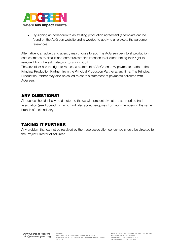

• By signing an addendum to an existing production agreement (a template can be found on the AdGreen website and is worded to apply to all projects the agreement references)

Alternatively, an advertising agency may choose to add The AdGreen Levy to all production cost estimates by default and communicate this intention to all client, noting their right to remove it from the estimate prior to signing it off.

The advertiser has the right to request a statement of AdGreen Levy payments made to the Principal Production Partner, from the Principal Production Partner at any time. The Principal Production Partner may also be asked to share a statement of payments collected with AdGreen.

## ANY QUESTIONS?

All queries should initially be directed to the usual representative at the appropriate trade association (see Appendix 2), which will also accept enquiries from non-members in the same branch of their industry.

## TAKING IT FURTHER

Any problem that cannot be resolved by the trade association concerned should be directed to the Project Director of AdGreen.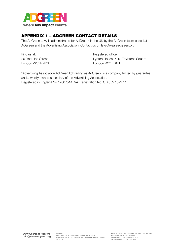

# APPENDIX 1 – ADGREEN CONTACT DETAILS

The AdGreen Levy is administrated for AdGreen\* in the UK by the AdGreen team based at AdGreen and the Advertising Association. Contact us on levy@weareadgreen.org.

Find us at: 20 Red Lion Street London WC1R 4PS

Registered office: Lynton House, 7-12 Tavistock Square London WC1H 9LT

\*Advertising Association AdGreen ltd trading as AdGreen, is a company limited by guarantee, and a wholly owned subsidiary of the Advertising Association. Registered in England No.12807514. VAT registration No. GB 355 1622 11.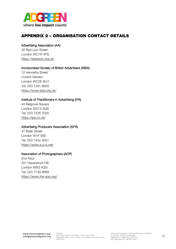

## APPENDIX 2 – ORGANISATION CONTACT DETAILS

#### Advertising Association (AA)

20 Red Lion Street London WC1R 4PS https://adassoc.org.uk/

#### Incorporated Society of British Advertisers (ISBA)

12 Henrietta Street Covent Garden London WC2E 8LH Tel: 020 7291 9020 https://www.isba.org.uk/

#### Institute of Practitioners in Advertising (IPA)

44 Belgrave Square London SW1X 8QS Tel: 020 7235 7020 https://ipa.co.uk/

#### Advertising Producers Association (APA)

47 Beak Street London W1F 9SE Tel: 020 7434 2651 https://www.a-p-a.net/

#### Association of Photographers (AOP)

2nd Floor 201 Haverstock Hill London NW3 4QG Tel: 020 7739 6669 https://www.the-aop.org/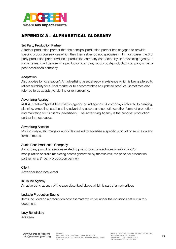

# APPENDIX 3 – ALPHABETICAL GLOSSARY

#### 3rd Party Production Partner

A further production partner that the principal production partner has engaged to provide specific production services which they themselves do not specialise in. In most cases the 3rd party production partner will be a production company contracted by an advertising agency. In some cases, it will be a service production company, audio post-production company or visual post-production company.

#### **Adaptation**

Also applies to 'localisation'. An advertising asset already in existence which is being altered to reflect suitability for a local market or to accommodate an updated product. Sometimes also referred to as adapts, versioning or re-versioning.

#### Advertising Agency

(A.K.A. creative/digital/PR/activation agency or 'ad agency') A company dedicated to creating, planning, executing, and handling advertising assets and sometimes other forms of promotion and marketing for its clients (advertisers). The Advertising Agency is the principal production partner in most cases.

#### Advertising Asset(s)

Moving image, still image or audio file created to advertise a specific product or service on any form of media.

#### Audio Post-Production Company

A company providing services related to post-production activities (creation and/or manipulation of audio marketing assets generated by themselves, the principal production partner, or a 3<sup>rd</sup> party production partner).

#### **Client**

Advertiser (and vice versa).

#### In House Agency

An advertising agency of the type described above which is part of an advertiser.

#### Leviable Production Spend

Items included on a production cost estimate which fall under the inclusions set out in this document.

#### Levy Beneficiary

AdGreen.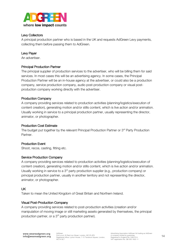

#### Levy Collectors

A principal production partner who is based in the UK and requests AdGreen Levy payments, collecting them before passing them to AdGreen.

#### Levy Payer

An advertiser.

#### Principal Production Partner

The principal supplier of production services to the advertiser, who will be billing them for said services. In most cases this will be an advertising agency. In some cases, the Principal Production Partner will be an in-house agency at the advertiser, or could also be a production company, service production company, audio post-production company or visual postproduction company working directly with the advertiser.

#### Production Company

A company providing services related to production activities (planning/logistics/execution of content creation), generating motion and/or stills content, which is live action and/or animation. Usually working in service to a principal production partner, usually representing the director, animator, or photographer.

#### Production Cost Estimate

The budget put together by the relevant Principal Production Partner or 3<sup>rd</sup> Party Production Partner.

#### Production Event

Shoot, recce, casting, fitting etc.

#### Service Production Company

A company providing services related to production activities (planning/logistics/execution of content creation), generating motion and/or stills content, which is live action and/or animation. Usually working in service to a 3<sup>rd</sup> party production supplier (e.g., production company) or principal production partner, usually in another territory and not representing the director, animator, or photographer.

#### UK

Taken to mean the United Kingdom of Great Britain and Northern Ireland.

#### Visual Post-Production Company

A company providing services related to post-production activities (creation and/or manipulation of moving image or still marketing assets generated by themselves, the principal production partner, or a 3<sup>rd</sup> party production partner).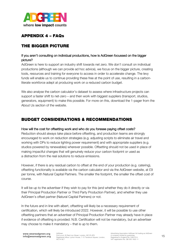

# APPENDIX 4 – FAQs

## THE BIGGER PICTURE

## If you aren't consulting on individual productions, how is AdGreen focussed on the bigger picture?

AdGreen is here to support an industry shift towards net zero. We don't consult on individual productions (although we can provide ad hoc advice), we focus on the bigger picture, creating tools, resources and training for everyone to access in order to accelerate change. The levy funds will enable us to continue providing these free at the point of use, resulting in a carbonliterate workforce adept at producing work on a reduced carbon budget.

We also analyse the carbon calculator's dataset to assess where infrastructure projects can support a faster shift to net-zero – and then work with biggest suppliers (transport, studios, generators, equipment) to make this possible. For more on this, download the 1-pager from the About Us section of the website.

## BUDGET CONSIDERATIONS & RECOMMENDATIONS

#### How will the cost for offsetting work and who do you foresee paying offset costs?

Reduction should always take place before offsetting, and production teams are strongly encouraged to work on reduction strategies (e.g. adjusting scripts to eliminate air travel and working with DPs to reduce lighting power requirement) and with appropriate suppliers (e.g. studios powered by renewables) wherever possible. Offsetting should not be used in place of making impactful changes that will genuinely reduce your carbon footprint or used as a distraction from the real solutions to reduce emissions.

However, if there is any residual carbon to offset at the end of your production (e.g. catering), offsetting functionality is available via the carbon calculator and via the AdGreen website, at £9 per tonne, with Natural Capital Partners. The smaller the footprint, the smaller the offset cost of course.

It will be up to the advertiser if they wish to pay for this (and whether they do it directly or via their Principal Production Partner or Third Party Production Partner), and whether they use AdGreen's offset partner (Natural Capital Partners) or not.

In the future and in line with albert, offsetting will likely be a necessary requirement of certification, which will likely be introduced 2022. However, it will be possible to use other offsetting partners that an advertiser of Principal Production Partner may already have in place if evidence of offsetting is provided. N.B. Certification will not be mandatory, but an advertiser may choose to make it mandatory – that is up to them.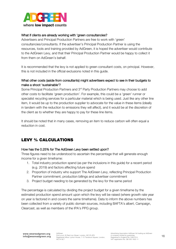

#### What if clients are already working with 'green consultancies?

Advertisers and Principal Production Partners are free to work with 'green' consultancies/consultants. If the advertiser's Principal Production Partner is using the resources, tools and training provided by AdGreen, it is hoped the advertiser would contribute to the AdGreen Levy, and that their Principal Production Partner would be happy to collect it from them on AdGreen's behalf.

It is recommended that the levy is not applied to green consultant costs, on principal. However, this is not included in the official exclusions noted in this guide.

## What other costs (aside from consultants) might advertisers expect to see in their budgets to make a shoot 'sustainable'?

Some Principal Production Partners and 3<sup>rd</sup> Party Production Partners may choose to add other costs to facilitate 'green production'. For example, this could be a 'green' runner or specialist recycling services for a particular material which is being used. Just like any other line item, it would be up to the production supplier to advocate for the value in these items (ideally in tandem with the reduction to emissions they will affect), and it would be at the discretion of the client as to whether they are happy to pay for these line items.

It should be noted that in many cases, removing an item to reduce carbon will often equal a reduction in cost.

# LEVY % CALCULATIONS

#### How has the 0.25% for The AdGreen Levy been settled upon?

Three figures need to be understood to ascertain the percentage that will generate enough income for a given timeframe:

- 1. Total industry production spend (as per the inclusions in this guide) for a recent period (e.g. 2019) and factors affecting future spend
- 2. Proportion of industry who support The AdGreen Levy, reflecting Principal Production Partner commitment, production billings and advertiser commitment
- 3. Project budget needing to be generated by the levy for the same period

The percentage is calculated by dividing the project budget for a given timeframe by the estimated production spend amount upon which the levy will be raised (where growth rate year on year is factored in and covers the same timeframe). Data to inform the above numbers has been collected from a variety of public domain sources, including BAFTA's albert, Campaign, Clearcast, as well as members of the IPA's PPG group.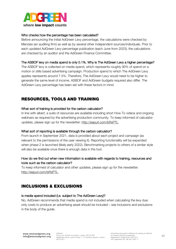

#### Who checks how the percentage has been calculated?

Before announcing the initial AdGreen Levy percentage, the calculations were checked by Menzies (an auditing firm) as well as by several other independent sources/individuals. Prior to each updated AdGreen Levy percentage publication (each June from 2023), the calculations are checked by an auditor and the AdGreen Finance Committee.

#### The ASBOF levy on media spend is only 0.1%. Why is The AdGreen Levy a higher percentage?

The ASBOF levy is collected on media spend, which represents roughly 90% of spend on a motion or stills based advertising campaign. Production spend to which The AdGreen Levy applies represents around 7.5%. Therefore, The AdGreen Levy would need to be higher to generate the same level of income. ASBOF and AdGreen budgets required also differ. The AdGreen Levy percentage has been set with these factors in mind.

## RESOURCES, TOOLS AND TRAINING

#### What sort of training is provided for the carbon calculator?

In line with albert, a suite of resources are available including short How To videos and ongoing webinars as required by the advertising production community. To keep informed of calculator updates, please sign up for the newsletter: http://eepurl.com/bRsPTL.

#### What sort of reporting is available through the carbon calculator?

From launch in September 2021, data is provided about each project and campaign (as relevant to the permissions of the user viewing it). Reporting functionality will be expanded when phase 2 is launched (likely early 2022). Benchmarking projects to others of a similar style will also be available once there is enough data in the tool.

## How do we find out when new information is available with regards to training, resources and tools such as the carbon calculator?

To keep informed of calculator and other updates, please sign up for the newsletter: http://eepurl.com/bRsPTL.

## INCLUSIONS & EXCLUSIONS

#### Is media spend included (i.e. subject to The AdGreen Levy)?

No, AdGreen recommends that media spend is not included when calculating the levy due: only costs to produce an advertising asset should be included – see inclusions and exclusions in the body of the guide.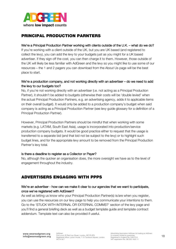

# PRINCIPAL PRODUCTION PARNTERS

## We're a Principal Production Partner working with clients outside of the U.K. – what do we do?

If you're working with a client outside of the UK, but you are UK based (and registered to collect the levy), you can add the levy to your budgets just as you might for a UK based advertiser. If they sign off the cost, you can then charge it to them. However, those outside of the UK will likely be less familiar with AdGreen and the levy so you might like to use some of our resources – the 1 and 2 pagers you can download from the About Us page will be the best place to start.

## We're a production company, and not working directly with an advertiser – do we need to add the levy to our budgets too?

No, if you're not working directly with an advertiser (i.e. not acting as a Principal Production Partner), it shouldn't be added to budgets (otherwise their costs will be 'double levied' when the actual Principal Production Partners, e.g. an advertising agency, adds it to applicable items on their overall budget). It would only be added to a production company's budget when said company is acting as a Principal Production Partner (see levy guide glossary for a definition of a Principal Production Partner).

However, Principal Production Partners should be mindful that when working with some markets (e.g. LATAM, South East Asia), usage is incorporated into production/service production company budgets. It would be good practice either to request that the usage is transferred to a separate bid (and that bid not be subject to the levy) or to highlight such budget lines, and for the appropriate levy amount to be removed from the Principal Production Partner's levy total.

#### Is there a deadline to register as a Collector or Payer?

No, although the quicker an organisation does, the more oversight we have as to the level of engagement throughout the industry.

## ADVERTISERS ENGAGING WITH PPPS

## We're an advertiser - how can we make it clear to our agencies that we want to participate, once we've registered with AdGreen?

As well as letting us know who your Principal Production Partner(s) is/are when you register, you can use the resources on our levy page to help you communicate your intentions to them. Go to the 'STUCK WITH INTERNAL OR EXTERNAL COMMS?' section of the levy page and you'll find a general briefing deck as well as a budget template guide and template contract addendum. Template text can also be provided if useful.